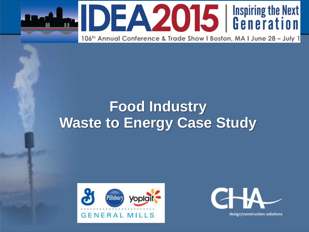



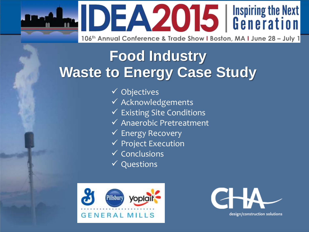**IDEA2015** | Inspiring the Next

106th Annual Conference & Trade Show I Boston, MA I June 28 - July 1

## **Food Industry Waste to Energy Case Study**

- $\checkmark$  Objectives
- $\checkmark$  Acknowledgements
- $\checkmark$  Existing Site Conditions
- Anaerobic Pretreatment
- $\checkmark$  Energy Recovery
- $\checkmark$  Project Execution
- $\checkmark$  Conclusions
- $\checkmark$  Questions



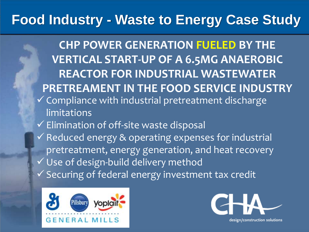**CHP POWER GENERATION FUELED BY THE VERTICAL START-UP OF A 6.5MG ANAEROBIC REACTOR FOR INDUSTRIAL WASTEWATER PRETREAMENT IN THE FOOD SERVICE INDUSTRY**  $\checkmark$  Compliance with industrial pretreatment discharge limitations  $\checkmark$  Elimination of off-site waste disposal  $\checkmark$  Reduced energy & operating expenses for industrial pretreatment, energy generation, and heat recovery Use of design-build delivery method  $\checkmark$  Securing of federal energy investment tax credit



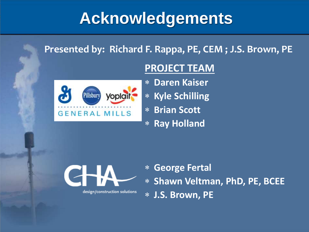## **Acknowledgements**

#### **Presented by: Richard F. Rappa, PE, CEM ; J.S. Brown, PE**



#### **PROJECT TEAM**

- **Daren Kaiser**
- **Kyle Schilling**
- **Brian Scott**
- **Ray Holland**

design/construction solutions

 **George Fertal Shawn Veltman, PhD, PE, BCEE J.S. Brown, PE**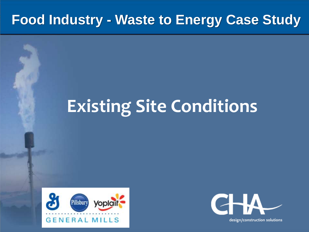# **Existing Site Conditions**



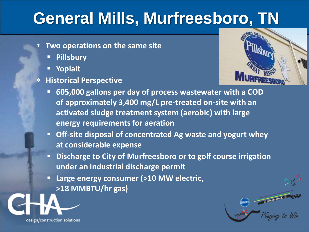## **General Mills, Murfreesboro, TN**

- **Two operations on the same site**
	- **Pillsbury**
	- **Yoplait**
- **Historical Perspective**



MURFREESBORD, TH **MURFREESBOING.** 

- **605,000 gallons per day of process wastewater with a COD of approximately 3,400 mg/L pre-treated on-site with an activated sludge treatment system (aerobic) with large energy requirements for aeration**
- **Off-site disposal of concentrated Ag waste and yogurt whey at considerable expense**
- **Discharge to City of Murfreesboro or to golf course irrigation under an industrial discharge permit**
- **Large energy consumer (>10 MW electric, >18 MMBTU/hr gas)**

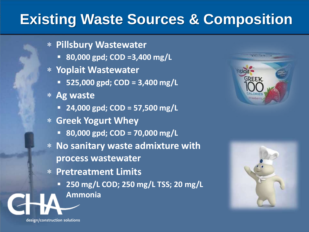#### **Existing Waste Sources & Composition**

- **Pillsbury Wastewater**
	- **80,000 gpd; COD =3,400 mg/L**
- **Yoplait Wastewater**
	- **525,000 gpd; COD = 3,400 mg/L**
- **Ag waste**
	- **24,000 gpd; COD = 57,500 mg/L**
- **Greek Yogurt Whey** 
	- **80,000 gpd; COD = 70,000 mg/L**
- **No sanitary waste admixture with process wastewater**
- **Pretreatment Limits** 
	- **250 mg/L COD; 250 mg/L TSS; 20 mg/L Ammonia**



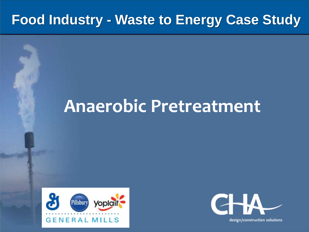## **Anaerobic Pretreatment**



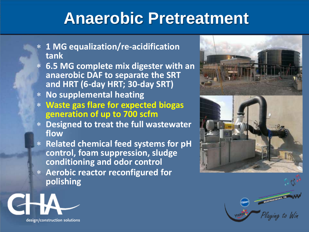## **Anaerobic Pretreatment**

- **1 MG equalization/re-acidification tank**
- **6.5 MG complete mix digester with an anaerobic DAF to separate the SRT and HRT (6-day HRT; 30-day SRT)**
- **No supplemental heating**
- **Waste gas flare for expected biogas generation of up to 700 scfm**
- **Designed to treat the full wastewater flow**
- **Related chemical feed systems for pH control, foam suppression, sludge conditioning and odor control**
- **Aerobic reactor reconfigured for polishing**





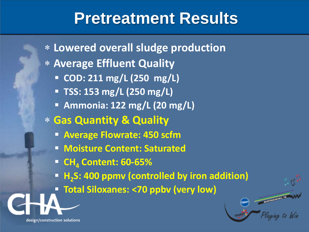#### **Pretreatment Results**

 **Lowered overall sludge production Average Effluent Quality COD: 211 mg/L (250 mg/L) TSS: 153 mg/L (250 mg/L) Ammonia: 122 mg/L (20 mg/L) Gas Quantity & Quality Average Flowrate: 450 scfm Moisture Content: Saturated CH<sup>4</sup> Content: 60-65% H<sup>2</sup> S: 400 ppmv (controlled by iron addition) Total Siloxanes: <70 ppbv (very low)**

MURIREESDORD, TH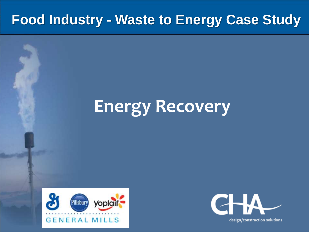# **Energy Recovery**



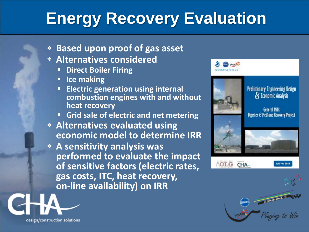## **Energy Recovery Evaluation**

- **Based upon proof of gas asset**
- **Alternatives considered**
	- **Direct Boiler Firing**
	- **I** Ice making
	- **Electric generation using internal combustion engines with and without heat recovery**
	- **Grid sale of electric and net metering**
- **Alternatives evaluated using economic model to determine IRR**
- **A sensitivity analysis was performed to evaluate the impact of sensitive factors (electric rates, gas costs, ITC, heat recovery, on-line availability) on IRR**







**General Mills** Digester & Methane Recovery Project



OLG CHA



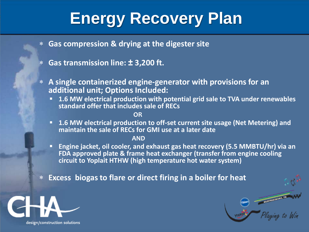## **Energy Recovery Plan**

- **Gas compression & drying at the digester site**
- **Gas transmission line: ± 3,200 ft.**
- **A single containerized engine-generator with provisions for an additional unit; Options Included:**
	- **1.6 MW electrical production with potential grid sale to TVA under renewables standard offer that includes sale of RECs**

**OR**

 **1.6 MW electrical production to off-set current site usage (Net Metering) and maintain the sale of RECs for GMI use at a later date**

**AND**

 **Engine jacket, oil cooler, and exhaust gas heat recovery (5.5 MMBTU/hr) via an FDA approved plate & frame heat exchanger (transfer from engine cooling circuit to Yoplait HTHW (high temperature hot water system)**

MURFREESBORD, TH

**Excess biogas to flare or direct firing in a boiler for heat**

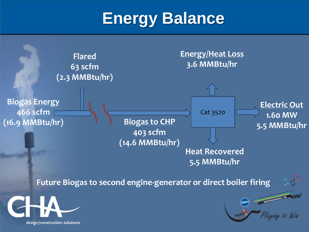## **Energy Balance**

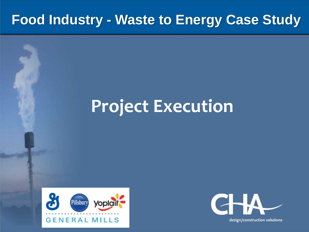## **Project Execution**



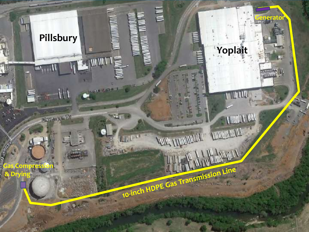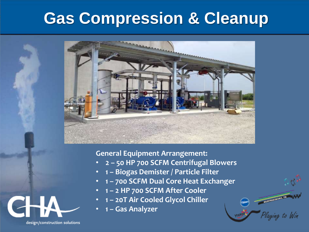#### **Gas Compression & Cleanup**



**General Equipment Arrangement:**

- **2 – 50 HP 700 SCFM Centrifugal Blowers**
- **1 – Biogas Demister / Particle Filter**
- **1 – 700 SCFM Dual Core Heat Exchanger**

**MUNICIPALISTICAL PROPERTY** 

ing to Win

- **1 – 2 HP 700 SCFM After Cooler**
- **1 – 20T Air Cooled Glycol Chiller**
- **1 – Gas Analyzer**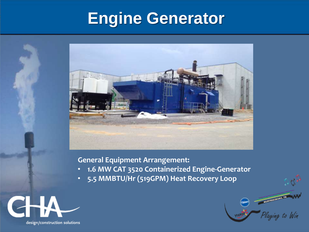## **Engine Generator**



#### **General Equipment Arrangement:**

• **1.6 MW CAT 3520 Containerized Engine-Generator**

Playeina to Win

• **5.5 MMBTU/Hr (519GPM) Heat Recovery Loop**

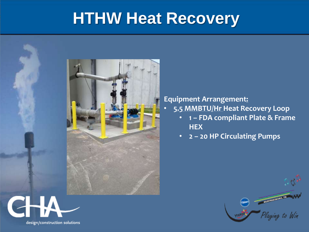#### **HTHW Heat Recovery**



design/construction solutions

#### **Equipment Arrangement:**

- **5.5 MMBTU/Hr Heat Recovery Loop**
	- **1 – FDA compliant Plate & Frame HEX**
	- **2 – 20 HP Circulating Pumps**

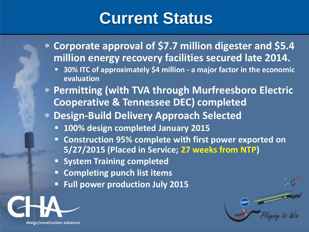## **Current Status**

- **Corporate approval of \$7.7 million digester and \$5.4 million energy recovery facilities secured late 2014.**
	- **30% ITC of approximately \$4 million - a major factor in the economic evaluation**
- **Permitting (with TVA through Murfreesboro Electric Cooperative & Tennessee DEC) completed**
- **Design-Build Delivery Approach Selected**
	- **100% design completed January 2015**
	- **Construction 95% complete with first power exported on 5/27/2015 (Placed in Service; 27 weeks from NTP)**

MURFREESBORD, TH

- **System Training completed**
- **Completing punch list items**
- **Full power production July 2015**

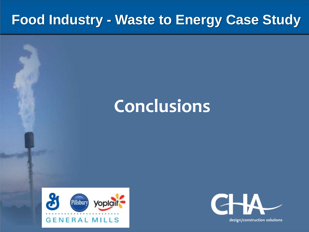## **Conclusions**



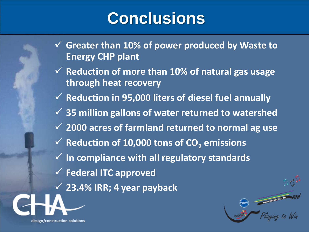## **Conclusions**

- **Greater than 10% of power produced by Waste to Energy CHP plant**
- **Reduction of more than 10% of natural gas usage through heat recovery**
- $\checkmark$  **Reduction in 95,000 liters of diesel fuel annually**
- **35 million gallons of water returned to watershed**
- **2000 acres of farmland returned to normal ag use**
- **<del>∨</del> Reduction of 10,000 tons of CO<sub>2</sub> emissions**
- **In compliance with all regulatory standards**
- **Federal ITC approved**

design/construction solutions

**23.4% IRR; 4 year payback**